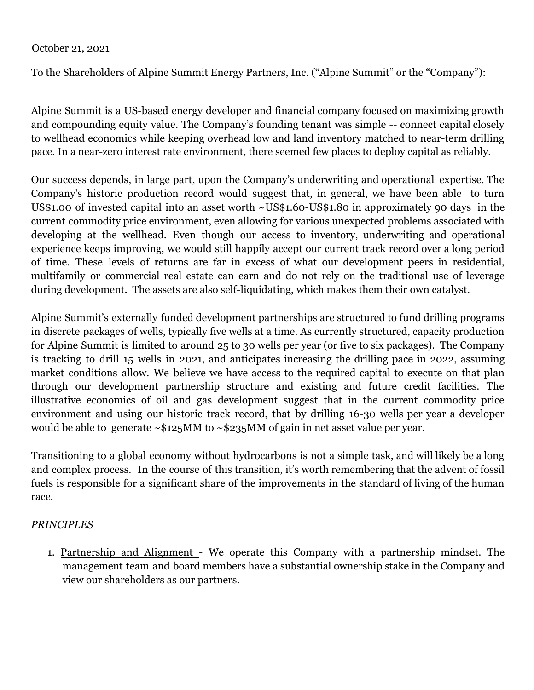## October 21, 2021

To the Shareholders of Alpine Summit Energy Partners, Inc. ("Alpine Summit" or the "Company"):

Alpine Summit is a US-based energy developer and financial company focused on maximizing growth and compounding equity value. The Company's founding tenant was simple -- connect capital closely to wellhead economics while keeping overhead low and land inventory matched to near-term drilling pace. In a near-zero interest rate environment, there seemed few places to deploy capital as reliably.

Our success depends, in large part, upon the Company's underwriting and operational expertise. The Company's historic production record would suggest that, in general, we have been able to turn US\$1.00 of invested capital into an asset worth ~US\$1.60-US\$1.80 in approximately 90 days in the current commodity price environment, even allowing for various unexpected problems associated with developing at the wellhead. Even though our access to inventory, underwriting and operational experience keeps improving, we would still happily accept our current track record over a long period of time. These levels of returns are far in excess of what our development peers in residential, multifamily or commercial real estate can earn and do not rely on the traditional use of leverage during development. The assets are also self-liquidating, which makes them their own catalyst.

Alpine Summit's externally funded development partnerships are structured to fund drilling programs in discrete packages of wells, typically five wells at a time. As currently structured, capacity production for Alpine Summit is limited to around 25 to 30 wells per year (or five to six packages). The Company is tracking to drill 15 wells in 2021, and anticipates increasing the drilling pace in 2022, assuming market conditions allow. We believe we have access to the required capital to execute on that plan through our development partnership structure and existing and future credit facilities. The illustrative economics of oil and gas development suggest that in the current commodity price environment and using our historic track record, that by drilling 16-30 wells per year a developer would be able to generate ~\$125MM to ~\$235MM of gain in net asset value per year.

Transitioning to a global economy without hydrocarbons is not a simple task, and will likely be a long and complex process. In the course of this transition, it's worth remembering that the advent of fossil fuels is responsible for a significant share of the improvements in the standard of living of the human race.

## *PRINCIPLES*

1. Partnership and Alignment - We operate this Company with a partnership mindset. The management team and board members have a substantial ownership stake in the Company and view our shareholders as our partners.